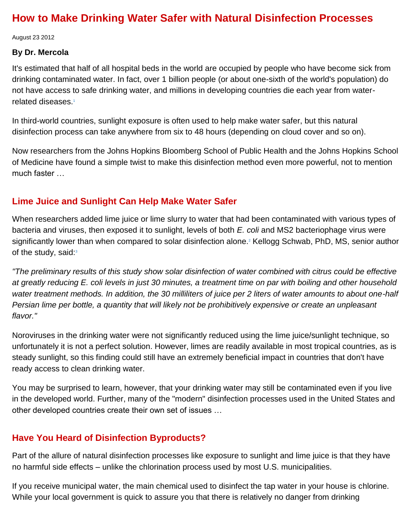# **How to Make Drinking Water Safer with Natural Disinfection Processes**

August 23 2012

#### **By Dr. Mercola**

It's estimated that half of all hospital beds in the world are occupied by people who have become sick from drinking contaminated water. In fact, over 1 billion people (or about one-sixth of the world's population) do not have access to safe drinking water, and millions in developing countries die each year from waterrelated diseases[.](http://articles.mercola.com/sites/articles/archive/2012/08/23/natural-water-filter-system.aspx#_edn1)<sup>1</sup>

In third-world countries, sunlight exposure is often used to help make water safer, but this natural disinfection process can take anywhere from six to 48 hours (depending on cloud cover and so on).

Now researchers from the Johns Hopkins Bloomberg School of Public Health and the Johns Hopkins School of Medicine have found a simple twist to make this disinfection method even more powerful, not to mention much faster …

#### **Lime Juice and Sunlight Can Help Make Water Safer**

When researchers added lime juice or lime slurry to water that had been contaminated with various types of bacteria and viruses, then exposed it to sunlight, levels of both *E. coli* and MS2 bacteriophage virus were significantly lower than when compared to solar disinfection alone[.](http://articles.mercola.com/sites/articles/archive/2012/08/23/natural-water-filter-system.aspx#_edn2)<sup>2</sup> Kellogg Schwab, PhD, MS, senior author of the study, said[:](http://articles.mercola.com/sites/articles/archive/2012/08/23/natural-water-filter-system.aspx#_edn3) $3$ 

*"The preliminary results of this study show solar disinfection of water combined with citrus could be effective at greatly reducing E. coli levels in just 30 minutes, a treatment time on par with boiling and other household water treatment methods. In addition, the 30 milliliters of juice per 2 liters of water amounts to about one-half Persian lime per bottle, a quantity that will likely not be prohibitively expensive or create an unpleasant flavor."*

Noroviruses in the drinking water were not significantly reduced using the lime juice/sunlight technique, so unfortunately it is not a perfect solution. However, limes are readily available in most tropical countries, as is steady sunlight, so this finding could still have an extremely beneficial impact in countries that don't have ready access to clean drinking water.

You may be surprised to learn, however, that your drinking water may still be contaminated even if you live in the developed world. Further, many of the "modern" disinfection processes used in the United States and other developed countries create their own set of issues …

### **Have You Heard of Disinfection Byproducts?**

Part of the allure of natural disinfection processes like exposure to sunlight and lime juice is that they have no harmful side effects – unlike the chlorination process used by most U.S. municipalities.

If you receive municipal water, the main chemical used to disinfect the tap water in your house is chlorine. While your local government is quick to assure you that there is relatively no danger from drinking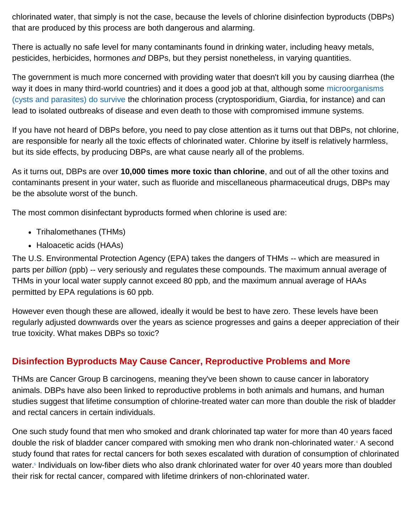chlorinated water, that simply is not the case, because the levels of chlorine disinfection byproducts (DBPs) that are produced by this process are both dangerous and alarming.

There is actually no safe level for many contaminants found in drinking water, including heavy metals, pesticides, herbicides, hormones *and* DBPs, but they persist nonetheless, in varying quantities.

The government is much more concerned with providing water that doesn't kill you by causing diarrhea (the way it does in many third-world countries) and it does a good job at that, although some microorganisms [\(cysts and parasites\) do survive](http://articles.mercola.com/sites/articles/archive/2012/01/02/tap-water-neti-pot-toxic.aspx) the chlorination process (cryptosporidium, Giardia, for instance) and can lead to isolated outbreaks of disease and even death to those with compromised immune systems.

If you have not heard of DBPs before, you need to pay close attention as it turns out that DBPs, not chlorine, are responsible for nearly all the toxic effects of chlorinated water. Chlorine by itself is relatively harmless, but its side effects, by producing DBPs, are what cause nearly all of the problems.

As it turns out, DBPs are over **10,000 times more toxic than chlorine**, and out of all the other toxins and contaminants present in your water, such as fluoride and miscellaneous pharmaceutical drugs, DBPs may be the absolute worst of the bunch.

The most common disinfectant byproducts formed when chlorine is used are:

- Trihalomethanes (THMs)
- Haloacetic acids (HAAs)

The U.S. Environmental Protection Agency (EPA) takes the dangers of THMs -- which are measured in parts per *billion* (ppb) -- very seriously and regulates these compounds. The maximum annual average of THMs in your local water supply cannot exceed 80 ppb, and the maximum annual average of HAAs permitted by EPA regulations is 60 ppb.

However even though these are allowed, ideally it would be best to have zero. These levels have been regularly adjusted downwards over the years as science progresses and gains a deeper appreciation of their true toxicity. What makes DBPs so toxic?

## **Disinfection Byproducts May Cause Cancer, Reproductive Problems and More**

THMs are Cancer Group B carcinogens, meaning they've been shown to cause cancer in laboratory animals. DBPs have also been linked to reproductive problems in both animals and humans, and human studies suggest that lifetime consumption of chlorine-treated water can more than double the risk of bladder and rectal cancers in certain individuals.

One such study found that men who smoked and drank chlorinated tap water for more than 40 years faced double the risk of bladder cancer compared with smoking men who drank non-chlorinated water[.](http://articles.mercola.com/sites/articles/archive/2012/08/23/natural-water-filter-system.aspx#_edn4)<sup>4</sup> A second study found that rates for rectal cancers for both sexes escalated with duration of consumption of chlorinated water[.](http://articles.mercola.com/sites/articles/archive/2012/08/23/natural-water-filter-system.aspx#_edn5)<sup>5</sup> Individuals on low-fiber diets who also drank chlorinated water for over 40 years more than doubled their risk for rectal cancer, compared with lifetime drinkers of non-chlorinated water.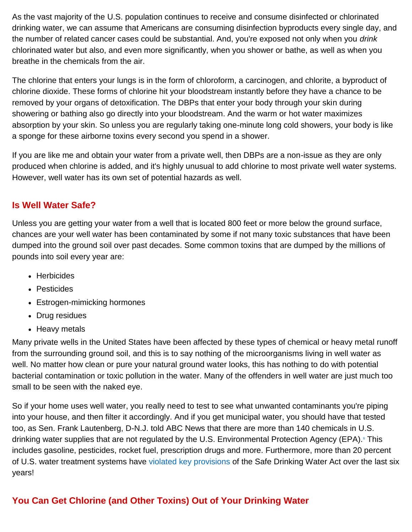As the vast majority of the U.S. population continues to receive and consume disinfected or chlorinated drinking water, we can assume that Americans are consuming disinfection byproducts every single day, and the number of related cancer cases could be substantial. And, you're exposed not only when you *drink* chlorinated water but also, and even more significantly, when you shower or bathe, as well as when you breathe in the chemicals from the air.

The chlorine that enters your lungs is in the form of chloroform, a carcinogen, and chlorite, a byproduct of chlorine dioxide. These forms of chlorine hit your bloodstream instantly before they have a chance to be removed by your organs of detoxification. The DBPs that enter your body through your skin during showering or bathing also go directly into your bloodstream. And the warm or hot water maximizes absorption by your skin. So unless you are regularly taking one-minute long cold showers, your body is like a sponge for these airborne toxins every second you spend in a shower.

If you are like me and obtain your water from a private well, then DBPs are a non-issue as they are only produced when chlorine is added, and it's highly unusual to add chlorine to most private well water systems. However, well water has its own set of potential hazards as well.

### **Is Well Water Safe?**

Unless you are getting your water from a well that is located 800 feet or more below the ground surface, chances are your well water has been contaminated by some if not many toxic substances that have been dumped into the ground soil over past decades. Some common toxins that are dumped by the millions of pounds into soil every year are:

- Herbicides
- Pesticides
- Estrogen-mimicking hormones
- Drug residues
- Heavy metals

Many private wells in the United States have been affected by these types of chemical or heavy metal runoff from the surrounding ground soil, and this is to say nothing of the microorganisms living in well water as well. No matter how clean or pure your natural ground water looks, this has nothing to do with potential bacterial contamination or toxic pollution in the water. Many of the offenders in well water are just much too small to be seen with the naked eye.

So if your home uses well water, you really need to test to see what unwanted contaminants you're piping into your house, and then filter it accordingly. And if you get municipal water, you should have that tested too, as Sen. Frank Lautenberg, D-N.J. told ABC News that there are more than 140 chemicals in U.S. drinking water supplies that are not regulated by the U[.](http://articles.mercola.com/sites/articles/archive/2012/08/23/natural-water-filter-system.aspx#_edn6)S. Environmental Protection Agency (EPA).<sup>6</sup> This includes gasoline, pesticides, rocket fuel, prescription drugs and more. Furthermore, more than 20 percent of U.S. water treatment systems have [violated key provisions](http://articles.mercola.com/sites/articles/archive/2009/12/22/Why-are-MILLIONS-in-US-Drinking-Dirty-Water.aspx) of the Safe Drinking Water Act over the last six years!

# **You Can Get Chlorine (and Other Toxins) Out of Your Drinking Water**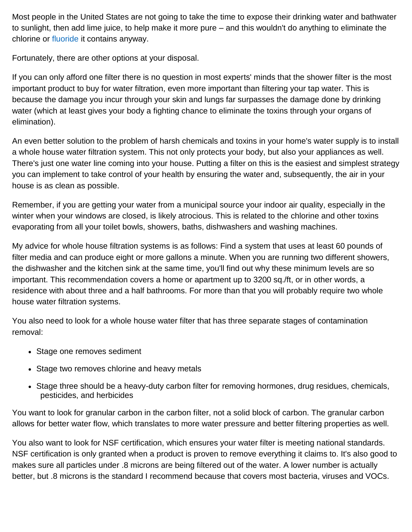Most people in the United States are not going to take the time to expose their drinking water and bathwater to sunlight, then add lime juice, to help make it more pure – and this wouldn't do anything to eliminate the chlorine or [fluoride](http://articles.mercola.com/sites/articles/archive/2011/11/12/jeff-green-on-fluoride-part-1.aspx) it contains anyway.

Fortunately, there are other options at your disposal.

If you can only afford one filter there is no question in most experts' minds that the shower filter is the most important product to buy for water filtration, even more important than filtering your tap water. This is because the damage you incur through your skin and lungs far surpasses the damage done by drinking water (which at least gives your body a fighting chance to eliminate the toxins through your organs of elimination).

An even better solution to the problem of harsh chemicals and toxins in your home's water supply is to install a whole house water filtration system. This not only protects your body, but also your appliances as well. There's just one water line coming into your house. Putting a filter on this is the easiest and simplest strategy you can implement to take control of your health by ensuring the water and, subsequently, the air in your house is as clean as possible.

Remember, if you are getting your water from a municipal source your indoor air quality, especially in the winter when your windows are closed, is likely atrocious. This is related to the chlorine and other toxins evaporating from all your toilet bowls, showers, baths, dishwashers and washing machines.

My advice for whole house filtration systems is as follows: Find a system that uses at least 60 pounds of filter media and can produce eight or more gallons a minute. When you are running two different showers, the dishwasher and the kitchen sink at the same time, you'll find out why these minimum levels are so important. This recommendation covers a home or apartment up to 3200 sq./ft, or in other words, a residence with about three and a half bathrooms. For more than that you will probably require two whole house water filtration systems.

You also need to look for a whole house water filter that has three separate stages of contamination removal:

- Stage one removes sediment
- Stage two removes chlorine and heavy metals
- Stage three should be a heavy-duty carbon filter for removing hormones, drug residues, chemicals, pesticides, and herbicides

You want to look for granular carbon in the carbon filter, not a solid block of carbon. The granular carbon allows for better water flow, which translates to more water pressure and better filtering properties as well.

You also want to look for NSF certification, which ensures your water filter is meeting national standards. NSF certification is only granted when a product is proven to remove everything it claims to. It's also good to makes sure all particles under .8 microns are being filtered out of the water. A lower number is actually better, but .8 microns is the standard I recommend because that covers most bacteria, viruses and VOCs.